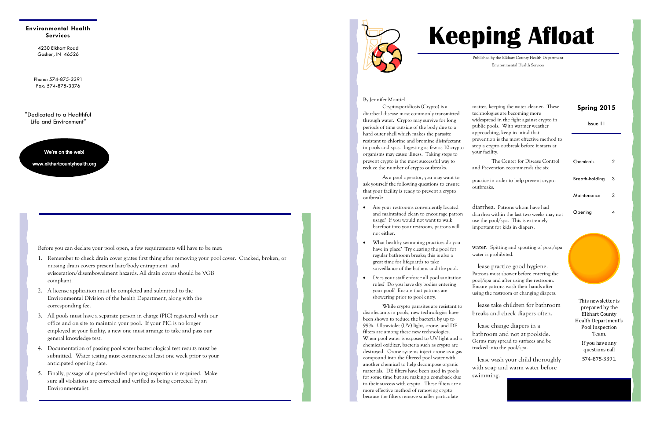4230 Elkhart Road Goshen, IN 46526

**Environmental Health Services** 

> Phone: 574-875-3391 Fax: 574-875-3376

"Dedicated to a Healthful Life and Environment"

We're on the web!

www.elkhartcountyhealth.org

## Be Prepared for the Opening Inspection!

#### So, you're ready to open up that swimming pool for yet another great season? Well, hold on a minute!

Before you can declare your pool open, a few requirements will have to be met:

- 1. Remember to check drain cover grates first thing after removing your pool cover. Cracked, broken, or missing drain covers present hair/body entrapment and evisceration/disembowelment hazards. All drain covers should be VGB compliant.
- 2. A license application must be completed and submitted to the Environmental Division of the health Department, along with the corresponding fee.
- 3. All pools must have a separate person in charge (PIC) registered with our office and on site to maintain your pool. If your PIC is no longer employed at your facility, a new one must arrange to take and pass our general knowledge test.
- 4. Documentation of passing pool water bacteriological test results must be submitted. Water testing must commence at least one week prior to your anticipated opening date.
- 5. Finally, passage of a pre-scheduled opening inspection is required. Make sure all violations are corrected and verified as being corrected by an Environmentalist.





## Crypto: Prevention and Treatment

Issue 11

### **Spring 2015**

| Chemicals      | 2 |
|----------------|---|
| Breath-holding | 3 |
| Maintenance    | 3 |
| Opening        |   |

#### Inside this issue:

# **Keeping Afloat**

Published by the Elkhart County Health Department Environmental Health Services

 Cryptosporidiosis (Crypto) is a diarrheal disease most commonly transmitted through water. Crypto may survive for long periods of time outside of the body due to a hard outer shell which makes the parasite resistant to chlorine and bromine disinfectant in pools and spas. Ingesting as few as 10 crypto organisms may cause illness. Taking steps to prevent crypto is the most successful way to reduce the number of crypto outbreaks.

 As a pool operator, you may want to ask yourself the following questions to ensure that your facility is ready to prevent a crypto outbreak:

> Please practice good hygiene. Patrons must shower before entering the pool/spa and after using the restroom. Ensure patrons wash their hands after using the restroom or changing diapers.

Please wash your child thoroughly with soap and warm water before swimming.

If you have any questions call 574-875-3391.

- Are your restrooms conveniently located and maintained clean to encourage patron usage? If you would not want to walk barefoot into your restroom, patrons will not either.
- What healthy swimming practices do you have in place? Try clearing the pool for regular bathroom breaks; this is also a great time for lifeguards to take surveillance of the bathers and the pool.
- Does your staff enforce all pool sanitation rules? Do you have dry bodies entering your pool? Ensure that patrons are showering prior to pool entry.

 While crypto parasites are resistant to disinfectants in pools, new technologies have been shown to reduce the bacteria by up to 99%. Ultraviolet (UV) light, ozone, and DE filters are among these new technologies. When pool water is exposed to UV light and a chemical oxidizer, bacteria such as crypto are destroyed. Ozone systems inject ozone as a gas compound into the filtered pool water with another chemical to help decompose organic materials. DE filters have been used in pools for some time but are making a comeback due to their success with crypto. These filters are a more effective method of removing crypto because the filters remove smaller particulate

matter, keeping the water cleaner. These technologies are becoming more widespread in the fight against crypto in public pools. With warmer weather approaching, keep in mind that prevention is the most effective method to stop a crypto outbreak before it starts at your facility.

 The Center for Disease Control and Prevention recommends the six 'PLEAs' for patrons of pools and spas to practice in order to help prevent crypto outbreaks.

#### Please don't swim when you have

diarrhea. Patrons whom have had diarrhea within the last two weeks may not use the pool/spa. This is extremely important for kids in diapers.

#### Please don't swallow the pool

water. Spitting and spouting of pool/spa water is prohibited.

Please take children for bathroom breaks and check diapers often.

Please change diapers in a bathroom and not at poolside. Germs may spread to surfaces and be tracked into the pool/spa.

This newsletter is prepared by the Elkhart County Health Department's Pool Inspection Team.

Are you doing everything you can to prevent a crypto outbreak?

By Jennifer Montiel